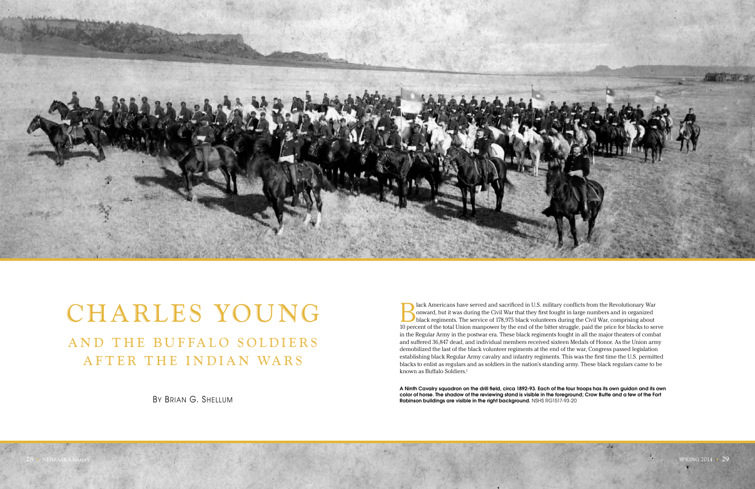

# CHARLES YOUNG AND THE BUFFALO SOLDIERS AFTER THE INDIAN WARS

By Brian G. Shellum

Black Americans have served and sacrificed in U.S. military conflicts from the Revolutionary War onward, but it was during the Civil War that they first fought in large numbers and in organized black regiments. The service onward, but it was during the Civil War that they first fought in large numbers and in organized 10 percent of the total Union manpower by the end of the bitter struggle, paid the price for blacks to serve in the Regular Army in the postwar era. These black regiments fought in all the major theaters of combat and suffered 36,847 dead, and individual members received sixteen Medals of Honor. As the Union army demobilized the last of the black volunteer regiments at the end of the war, Congress passed legislation establishing black Regular Army cavalry and infantry regiments. This was the first time the U.S. permitted blacks to enlist as regulars and as soldiers in the nation's standing army. These black regulars came to be known as Buffalo Soldiers.<sup>1</sup>

A Ninth Cavalry squadron on the drill field, circa 1892-93. Each of the four troops has its own guidon and its own color of horse. The shadow of the reviewing stand is visible in the foreground; Crow Butte and a few of the Fort Robinson buildings are visible in the right background. NSHS RG1517-93-20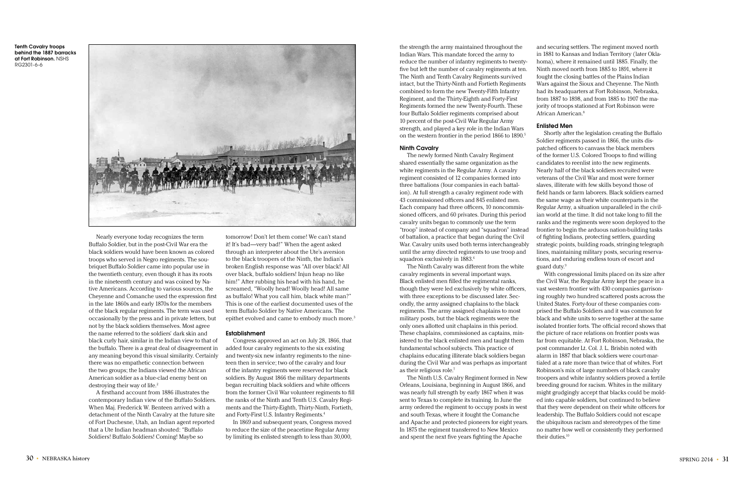Nearly everyone today recognizes the term Buffalo Soldier, but in the post-Civil War era the black soldiers would have been known as colored troops who served in Negro regiments. The soubriquet Buffalo Soldier came into popular use in the twentieth century, even though it has its roots in the nineteenth century and was coined by Native Americans. According to various sources, the Cheyenne and Comanche used the expression first in the late 1860s and early 1870s for the members of the black regular regiments. The term was used occasionally by the press and in private letters, but not by the black soldiers themselves. Most agree the name referred to the soldiers' dark skin and black curly hair, similar in the Indian view to that of the buffalo. There is a great deal of disagreement in any meaning beyond this visual similarity. Certainly there was no empathetic connection between the two groups; the Indians viewed the African American soldier as a blue-clad enemy bent on destroying their way of life.<sup>2</sup>

tomorrow! Don't let them come! We can't stand it! It's bad—very bad!" When the agent asked through an interpreter about the Ute's aversion to the black troopers of the Ninth, the Indian's broken English response was "All over black! All over black, buffalo soldiers! Injun heap no like him!" After rubbing his head with his hand, he screamed, "Woolly head! Woolly head! All same as buffalo! What you call him, black white man?" This is one of the earliest documented uses of the term Buffalo Soldier by Native Americans. The epithet evolved and came to embody much more.<sup>3</sup>

A firsthand account from 1886 illustrates the contemporary Indian view of the Buffalo Soldiers. When Maj. Frederick W. Benteen arrived with a detachment of the Ninth Cavalry at the future site of Fort Duchesne, Utah, an Indian agent reported that a Ute Indian headman shouted: "Buffalo Soldiers! Buffalo Soldiers! Coming! Maybe so

the strength the army maintained throughout the Indian Wars. This mandate forced the army to reduce the number of infantry regiments to twentyfive but left the number of cavalry regiments at ten. The Ninth and Tenth Cavalry Regiments survived intact, but the Thirty-Ninth and Fortieth Regiments combined to form the new Twenty-Fifth Infantry Regiment, and the Thirty-Eighth and Forty-First Regiments formed the new Twenty-Fourth. These four Buffalo Soldier regiments comprised about 10 percent of the post-Civil War Regular Army strength, and played a key role in the Indian Wars on the western frontier in the period 1866 to 1890.<sup>5</sup>

The newly formed Ninth Cavalry Regiment shared essentially the same organization as the white regiments in the Regular Army. A cavalry regiment consisted of 12 companies formed into three battalions (four companies in each battalion). At full strength a cavalry regiment rode with 43 commissioned officers and 845 enlisted men. Each company had three officers, 10 noncommissioned officers, and 60 privates. During this period cavalry units began to commonly use the term "troop" instead of company and "squadron" instead of battalion, a practice that began during the Civil War. Cavalry units used both terms interchangeably until the army directed regiments to use troop and squadron exclusively in 1883.6

#### Establishment

Congress approved an act on July 28, 1866, that added four cavalry regiments to the six existing and twenty-six new infantry regiments to the nineteen then in service; two of the cavalry and four of the infantry regiments were reserved for black soldiers. By August 1866 the military departments began recruiting black soldiers and white officers from the former Civil War volunteer regiments to fill the ranks of the Ninth and Tenth U.S. Cavalry Regiments and the Thirty-Eighth, Thirty-Ninth, Fortieth, and Forty-First U.S. Infantry Regiments.4

In 1869 and subsequent years, Congress moved to reduce the size of the peacetime Regular Army by limiting its enlisted strength to less than 30,000,

#### Ninth Cavalry

The Ninth Cavalry was different from the white cavalry regiments in several important ways. Black enlisted men filled the regimental ranks, though they were led exclusively by white officers, with three exceptions to be discussed later. Secondly, the army assigned chaplains to the black regiments. The army assigned chaplains to most military posts, but the black regiments were the only ones allotted unit chaplains in this period. These chaplains, commissioned as captains, ministered to the black enlisted men and taught them fundamental school subjects. This practice of chaplains educating illiterate black soldiers began during the Civil War and was perhaps as important as their religious role.7

The Ninth U.S. Cavalry Regiment formed in New Orleans, Louisiana, beginning in August 1866, and was nearly full strength by early 1867 when it was sent to Texas to complete its training. In June the army ordered the regiment to occupy posts in west and south Texas, where it fought the Comanche and Apache and protected pioneers for eight years. In 1875 the regiment transferred to New Mexico and spent the next five years fighting the Apache

and securing settlers. The regiment moved north in 1881 to Kansas and Indian Territory (later Oklahoma), where it remained until 1885. Finally, the Ninth moved north from 1885 to 1891, where it fought the closing battles of the Plains Indian Wars against the Sioux and Cheyenne. The Ninth had its headquarters at Fort Robinson, Nebraska, from 1887 to 1898, and from 1885 to 1907 the majority of troops stationed at Fort Robinson were African American.8

# Enlisted Men

Shortly after the legislation creating the Buffalo Soldier regiments passed in 1866, the units dispatched officers to canvass the black members of the former U.S. Colored Troops to find willing candidates to reenlist into the new regiments. Nearly half of the black soldiers recruited were veterans of the Civil War and most were former slaves, illiterate with few skills beyond those of field hands or farm laborers. Black soldiers earned the same wage as their white counterparts in the Regular Army, a situation unparalleled in the civilian world at the time. It did not take long to fill the ranks and the regiments were soon deployed to the frontier to begin the arduous nation-building tasks of fighting Indians, protecting settlers, guarding strategic points, building roads, stringing telegraph lines, maintaining military posts, securing reservations, and enduring endless tours of escort and guard duty.9

With congressional limits placed on its size after the Civil War, the Regular Army kept the peace in a vast western frontier with 430 companies garrisoning roughly two hundred scattered posts across the United States. Forty-four of these companies comprised the Buffalo Soldiers and it was common for black and white units to serve together at the same isolated frontier forts. The official record shows that the picture of race relations on frontier posts was far from equitable. At Fort Robinson, Nebraska, the post commander Lt. Col. J. L. Brisbin noted with alarm in 1887 that black soldiers were court-martialed at a rate more than twice that of whites. Fort Robinson's mix of large numbers of black cavalry troopers and white infantry soldiers proved a fertile breeding ground for racism. Whites in the military might grudgingly accept that blacks could be molded into capable soldiers, but continued to believe that they were dependent on their white officers for leadership. The Buffalo Soldiers could not escape the ubiquitous racism and stereotypes of the time no matter how well or consistently they performed

their duties.10

Tenth Cavalry troops behind the 1887 barracks at Fort Robinson. NSHS RG2301-6-6

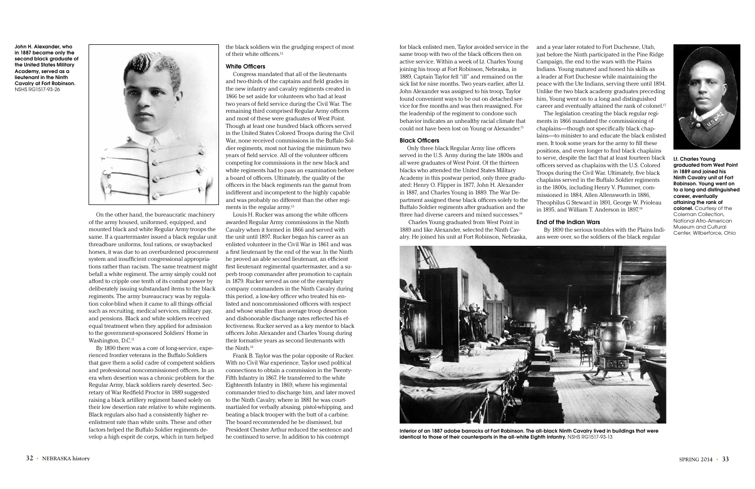On the other hand, the bureaucratic machinery of the army housed, uniformed, equipped, and mounted black and white Regular Army troops the same. If a quartermaster issued a black regular unit threadbare uniforms, foul rations, or swaybacked horses, it was due to an overburdened procurement system and insufficient congressional appropriations rather than racism. The same treatment might befall a white regiment. The army simply could not afford to cripple one tenth of its combat power by deliberately issuing substandard items to the black regiments. The army bureaucracy was by regulation color-blind when it came to all things official such as recruiting, medical services, military pay, and pensions. Black and white soldiers received equal treatment when they applied for admission to the government-sponsored Soldiers' Home in Washington, D.C.<sup>11</sup>

the black soldiers win the grudging respect of most of their white officers.<sup>12</sup>

Congress mandated that all of the lieutenants and two-thirds of the captains and field grades in the new infantry and cavalry regiments created in 1866 be set aside for volunteers who had at least two years of field service during the Civil War. The remaining third comprised Regular Army officers and most of these were graduates of West Point. Though at least one hundred black officers served in the United States Colored Troops during the Civil War, none received commissions in the Buffalo Soldier regiments, most not having the minimum two years of field service. All of the volunteer officers competing for commissions in the new black and white regiments had to pass an examination before a board of officers. Ultimately, the quality of the officers in the black regiments ran the gamut from indifferent and incompetent to the highly capable and was probably no different than the other regiments in the regular army.<sup>13</sup>

By 1890 there was a core of long-service, experienced frontier veterans in the Buffalo Soldiers that gave them a solid cadre of competent soldiers and professional noncommissioned officers. In an era when desertion was a chronic problem for the Regular Army, black soldiers rarely deserted. Secretary of War Redfield Proctor in 1889 suggested raising a black artillery regiment based solely on their low desertion rate relative to white regiments. Black regulars also had a consistently higher reenlistment rate than white units. These and other factors helped the Buffalo Soldier regiments develop a high esprit de corps, which in turn helped

#### White Officers

for black enlisted men, Taylor avoided service in the same troop with two of the black officers then on active service. Within a week of Lt. Charles Young joining his troop at Fort Robinson, Nebraska, in 1889, Captain Taylor fell "ill" and remained on the sick list for nine months. Two years earlier, after Lt. John Alexander was assigned to his troop, Taylor found convenient ways to be out on detached service for five months and was then reassigned. For the leadership of the regiment to condone such behavior indicates an unhealthy racial climate that could not have been lost on Young or Alexander.<sup>15</sup>

and a year later rotated to Fort Duchesne, Utah, just before the Ninth participated in the Pine Ridge Campaign, the end to the wars with the Plains Indians. Young matured and honed his skills as a leader at Fort Duchesne while maintaining the peace with the Ute Indians, serving there until 1894. Unlike the two black academy graduates preceding him, Young went on to a long and distinguished career and eventually attained the rank of colonel.<sup>17</sup> The legislation creating the black regular regiments in 1866 mandated the commissioning of chaplains—though not specifically black chaplains—to minister to and educate the black enlisted men. It took some years for the army to fill these positions, and even longer to find black chaplains to serve, despite the fact that at least fourteen black officers served as chaplains with the U.S. Colored Troops during the Civil War. Ultimately, five black chaplains served in the Buffalo Soldier regiments in the 1800s, including Henry V. Plummer, commissioned in 1884, Allen Allensworth in 1886, Theophilus G Steward in 1891, George W. Prioleau in 1895, and William T. Anderson in 1897.<sup>18</sup>

Louis H. Rucker was among the white officers awarded Regular Army commissions in the Ninth Cavalry when it formed in 1866 and served with the unit until 1897. Rucker began his career as an enlisted volunteer in the Civil War in 1861 and was a first lieutenant by the end of the war. In the Ninth he proved an able second lieutenant, an efficient first lieutenant regimental quartermaster, and a superb troop commander after promotion to captain in 1879. Rucker served as one of the exemplary company commanders in the Ninth Cavalry during this period, a low-key officer who treated his enlisted and noncommissioned officers with respect and whose smaller than average troop desertion and dishonorable discharge rates reflected his effectiveness. Rucker served as a key mentor to black officers John Alexander and Charles Young during their formative years as second lieutenants with the Ninth.14



Interior of an 1887 adobe barracks at Fort Robinson. The all-black Ninth Cavalry lived in buildings that were identical to those of their counterparts in the all-white Eighth Infantry. NSHS RG1517-93-13

Frank B. Taylor was the polar opposite of Rucker. With no Civil War experience, Taylor used political connections to obtain a commission in the Twenty-Fifth Infantry in 1867. He transferred to the white Eighteenth Infantry in 1869, where his regimental commander tried to discharge him, and later moved to the Ninth Cavalry, where in 1881 he was courtmartialed for verbally abusing, pistol-whipping, and beating a black trooper with the butt of a carbine. The board recommended he be dismissed, but President Chester Arthur reduced the sentence and he continued to serve. In addition to his contempt

#### Black Officers

Only three black Regular Army line officers served in the U.S. Army during the late 1800s and all were graduates of West Point. Of the thirteen blacks who attended the United States Military Academy in this postwar period, only three graduated: Henry O. Flipper in 1877, John H. Alexander in 1887, and Charles Young in 1889. The War Department assigned these black officers solely to the Buffalo Soldier regiments after graduation and the three had diverse careers and mixed successes.16

 Charles Young graduated from West Point in 1889 and like Alexander, selected the Ninth Cavalry. He joined his unit at Fort Robinson, Nebraska,

### End of the Indian Wars



By 1890 the serious troubles with the Plains Indians were over, so the soldiers of the black regular

John H. Alexander, who in 1887 became only the second black graduate of the United States Military Academy, served as a lieutenant in the Ninth Cavalry at Fort Robinson. NSHS RG1517-93-26



Lt. Charles Young graduated from West Point in 1889 and joined his Ninth Cavalry unit at Fort Robinson. Young went on to a long and distinguished career, eventually attaining the rank of colonel. Courtesy of the Coleman Collection, National Afro-American Museum and Cultural Center, Wilberforce, Ohio